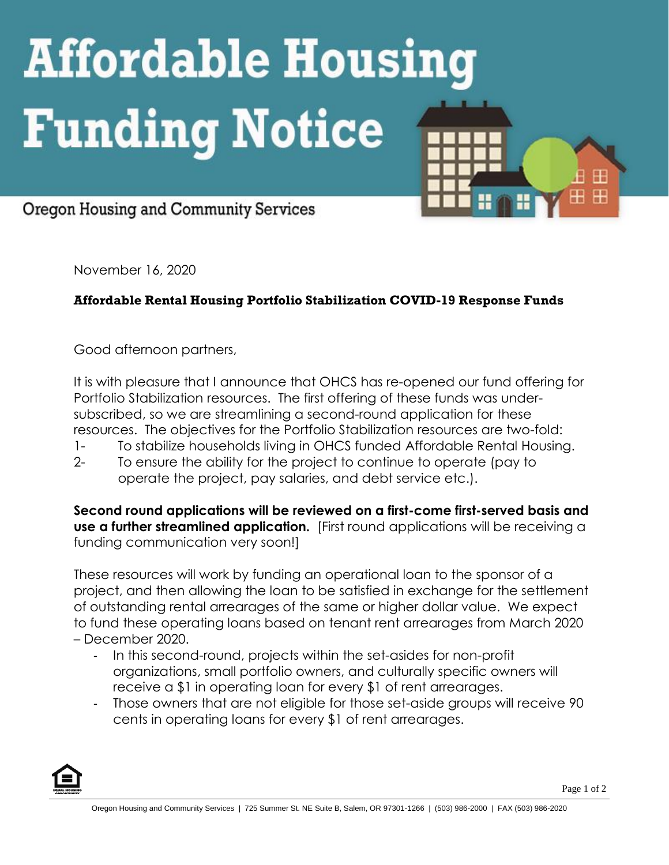## **Affordable Housing Funding Notice**



Oregon Housing and Community Services

November 16, 2020

## **Affordable Rental Housing Portfolio Stabilization COVID-19 Response Funds**

Good afternoon partners,

It is with pleasure that I announce that OHCS has re-opened our fund offering for Portfolio Stabilization resources. The first offering of these funds was undersubscribed, so we are streamlining a second-round application for these resources. The objectives for the Portfolio Stabilization resources are two-fold:

- 1- To stabilize households living in OHCS funded Affordable Rental Housing.
- 2- To ensure the ability for the project to continue to operate (pay to operate the project, pay salaries, and debt service etc.).

**Second round applications will be reviewed on a first-come first-served basis and use a further streamlined application.** [First round applications will be receiving a funding communication very soon!]

These resources will work by funding an operational loan to the sponsor of a project, and then allowing the loan to be satisfied in exchange for the settlement of outstanding rental arrearages of the same or higher dollar value. We expect to fund these operating loans based on tenant rent arrearages from March 2020 – December 2020.

- In this second-round, projects within the set-asides for non-profit organizations, small portfolio owners, and culturally specific owners will receive a \$1 in operating loan for every \$1 of rent arrearages.
- Those owners that are not eligible for those set-aside groups will receive 90 cents in operating loans for every \$1 of rent arrearages.